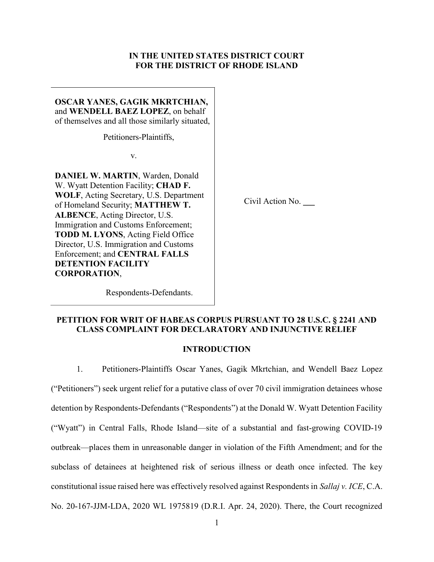## IN THE UNITED STATES DISTRICT COURT FOR THE DISTRICT OF RHODE ISLAND

OSCAR YANES, GAGIK MKRTCHIAN, and WENDELL BAEZ LOPEZ, on behalf of themselves and all those similarly situated,

Petitioners-Plaintiffs,

v.

DANIEL W. MARTIN, Warden, Donald W. Wyatt Detention Facility; CHAD F. WOLF, Acting Secretary, U.S. Department of Homeland Security; MATTHEW T. ALBENCE, Acting Director, U.S. Immigration and Customs Enforcement; TODD M. LYONS, Acting Field Office Director, U.S. Immigration and Customs Enforcement; and CENTRAL FALLS DETENTION FACILITY CORPORATION, Respondents-Defendants.

Civil Action No. \_\_\_

# PETITION FOR WRIT OF HABEAS CORPUS PURSUANT TO 28 U.S.C. § 2241 AND CLASS COMPLAINT FOR DECLARATORY AND INJUNCTIVE RELIEF

## INTRODUCTION

1. Petitioners-Plaintiffs Oscar Yanes, Gagik Mkrtchian, and Wendell Baez Lopez ("Petitioners") seek urgent relief for a putative class of over 70 civil immigration detainees whose detention by Respondents-Defendants ("Respondents") at the Donald W. Wyatt Detention Facility ("Wyatt") in Central Falls, Rhode Island—site of a substantial and fast-growing COVID-19 outbreak—places them in unreasonable danger in violation of the Fifth Amendment; and for the subclass of detainees at heightened risk of serious illness or death once infected. The key constitutional issue raised here was effectively resolved against Respondents in Sallaj v. ICE, C.A. No. 20-167-JJM-LDA, 2020 WL 1975819 (D.R.I. Apr. 24, 2020). There, the Court recognized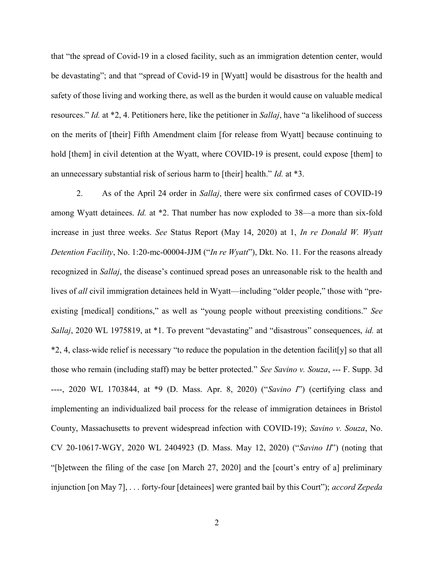that "the spread of Covid-19 in a closed facility, such as an immigration detention center, would be devastating"; and that "spread of Covid-19 in [Wyatt] would be disastrous for the health and safety of those living and working there, as well as the burden it would cause on valuable medical resources." Id. at \*2, 4. Petitioners here, like the petitioner in Sallaj, have "a likelihood of success on the merits of [their] Fifth Amendment claim [for release from Wyatt] because continuing to hold [them] in civil detention at the Wyatt, where COVID-19 is present, could expose [them] to an unnecessary substantial risk of serious harm to [their] health." Id. at \*3.

2. As of the April 24 order in Sallaj, there were six confirmed cases of COVID-19 among Wyatt detainees. Id. at \*2. That number has now exploded to 38—a more than six-fold increase in just three weeks. See Status Report (May 14, 2020) at 1, In re Donald W. Wyatt Detention Facility, No. 1:20-mc-00004-JJM ("In re Wyatt"), Dkt. No. 11. For the reasons already recognized in Sallaj, the disease's continued spread poses an unreasonable risk to the health and lives of all civil immigration detainees held in Wyatt—including "older people," those with "preexisting [medical] conditions," as well as "young people without preexisting conditions." See Sallaj, 2020 WL 1975819, at \*1. To prevent "devastating" and "disastrous" consequences, id. at \*2, 4, class-wide relief is necessary "to reduce the population in the detention facilit[y] so that all those who remain (including staff) may be better protected." See Savino v. Souza, --- F. Supp. 3d ----, 2020 WL 1703844, at \*9 (D. Mass. Apr. 8, 2020) ("Savino I") (certifying class and implementing an individualized bail process for the release of immigration detainees in Bristol County, Massachusetts to prevent widespread infection with COVID-19); Savino v. Souza, No. CV 20-10617-WGY, 2020 WL 2404923 (D. Mass. May 12, 2020) ("Savino II") (noting that "[b]etween the filing of the case [on March 27, 2020] and the [court's entry of a] preliminary injunction [on May 7], . . . forty-four [detainees] were granted bail by this Court"); *accord Zepeda*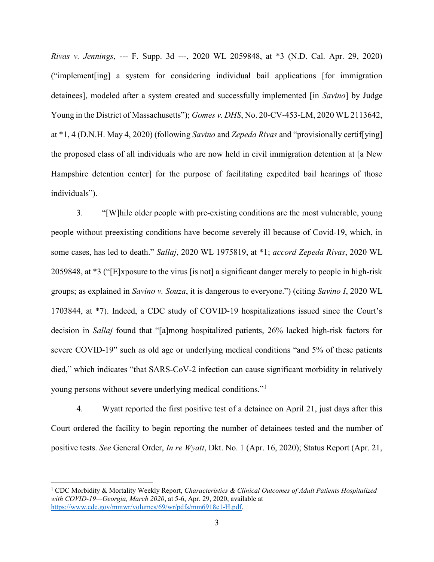Rivas v. Jennings, --- F. Supp. 3d ---, 2020 WL 2059848, at \*3 (N.D. Cal. Apr. 29, 2020) ("implement[ing] a system for considering individual bail applications [for immigration detainees], modeled after a system created and successfully implemented [in Savino] by Judge Young in the District of Massachusetts"); Gomes v. DHS, No. 20-CV-453-LM, 2020 WL 2113642, at \*1, 4 (D.N.H. May 4, 2020) (following *Savino* and *Zepeda Rivas* and "provisionally certif[ying] the proposed class of all individuals who are now held in civil immigration detention at [a New Hampshire detention center] for the purpose of facilitating expedited bail hearings of those individuals").

3. "[W]hile older people with pre-existing conditions are the most vulnerable, young people without preexisting conditions have become severely ill because of Covid-19, which, in some cases, has led to death." Sallaj, 2020 WL 1975819, at \*1; accord Zepeda Rivas, 2020 WL 2059848, at \*3 ("[E]xposure to the virus [is not] a significant danger merely to people in high-risk groups; as explained in Savino v. Souza, it is dangerous to everyone.") (citing Savino I, 2020 WL 1703844, at \*7). Indeed, a CDC study of COVID-19 hospitalizations issued since the Court's decision in Sallaj found that "[a]mong hospitalized patients, 26% lacked high-risk factors for severe COVID-19" such as old age or underlying medical conditions "and 5% of these patients died," which indicates "that SARS-CoV-2 infection can cause significant morbidity in relatively young persons without severe underlying medical conditions."<sup>1</sup>

4. Wyatt reported the first positive test of a detainee on April 21, just days after this Court ordered the facility to begin reporting the number of detainees tested and the number of positive tests. See General Order, In re Wyatt, Dkt. No. 1 (Apr. 16, 2020); Status Report (Apr. 21,

 $\overline{a}$ 

<sup>&</sup>lt;sup>1</sup> CDC Morbidity & Mortality Weekly Report, Characteristics & Clinical Outcomes of Adult Patients Hospitalized with COVID-19—Georgia, March 2020, at 5-6, Apr. 29, 2020, available at https://www.cdc.gov/mmwr/volumes/69/wr/pdfs/mm6918e1-H.pdf.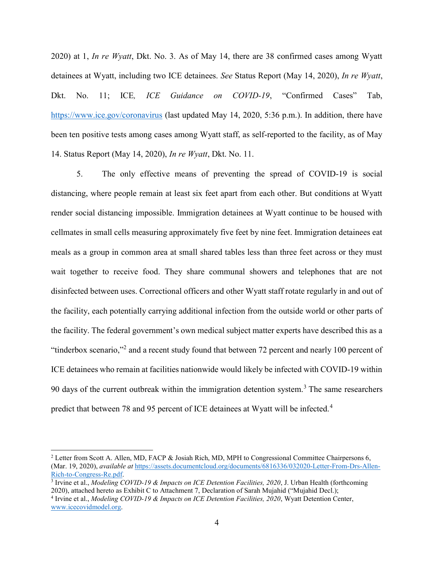2020) at 1, In re Wyatt, Dkt. No. 3. As of May 14, there are 38 confirmed cases among Wyatt detainees at Wyatt, including two ICE detainees. See Status Report (May 14, 2020), In re Wyatt, Dkt. No. 11; ICE, *ICE Guidance on COVID-19*, "Confirmed Cases" Tab, https://www.ice.gov/coronavirus (last updated May 14, 2020, 5:36 p.m.). In addition, there have been ten positive tests among cases among Wyatt staff, as self-reported to the facility, as of May 14. Status Report (May 14, 2020), In re Wyatt, Dkt. No. 11.

5. The only effective means of preventing the spread of COVID-19 is social distancing, where people remain at least six feet apart from each other. But conditions at Wyatt render social distancing impossible. Immigration detainees at Wyatt continue to be housed with cellmates in small cells measuring approximately five feet by nine feet. Immigration detainees eat meals as a group in common area at small shared tables less than three feet across or they must wait together to receive food. They share communal showers and telephones that are not disinfected between uses. Correctional officers and other Wyatt staff rotate regularly in and out of the facility, each potentially carrying additional infection from the outside world or other parts of the facility. The federal government's own medical subject matter experts have described this as a "tinderbox scenario,"<sup>2</sup> and a recent study found that between 72 percent and nearly 100 percent of ICE detainees who remain at facilities nationwide would likely be infected with COVID-19 within 90 days of the current outbreak within the immigration detention system.<sup>3</sup> The same researchers predict that between 78 and 95 percent of ICE detainees at Wyatt will be infected.<sup>4</sup>

<sup>&</sup>lt;sup>2</sup> Letter from Scott A. Allen, MD, FACP & Josiah Rich, MD, MPH to Congressional Committee Chairpersons 6, (Mar. 19, 2020), available at https://assets.documentcloud.org/documents/6816336/032020-Letter-From-Drs-Allen-Rich-to-Congress-Re.pdf.

<sup>&</sup>lt;sup>3</sup> Irvine et al., *Modeling COVID-19 & Impacts on ICE Detention Facilities*, 2020, J. Urban Health (forthcoming 2020), attached hereto as Exhibit C to Attachment 7, Declaration of Sarah Mujahid ("Mujahid Decl.);

<sup>&</sup>lt;sup>4</sup> Irvine et al., *Modeling COVID-19 & Impacts on ICE Detention Facilities*, 2020, Wyatt Detention Center, www.icecovidmodel.org.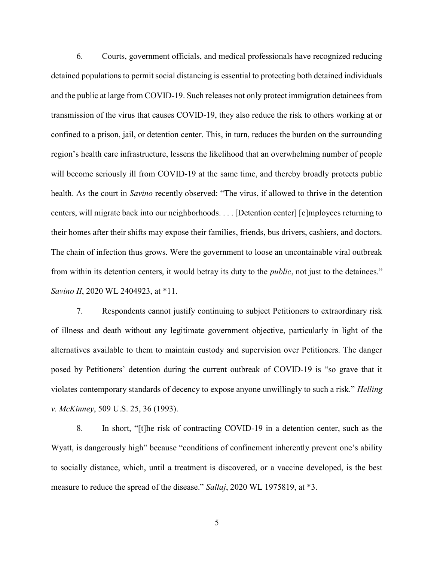6. Courts, government officials, and medical professionals have recognized reducing detained populations to permit social distancing is essential to protecting both detained individuals and the public at large from COVID-19. Such releases not only protect immigration detainees from transmission of the virus that causes COVID-19, they also reduce the risk to others working at or confined to a prison, jail, or detention center. This, in turn, reduces the burden on the surrounding region's health care infrastructure, lessens the likelihood that an overwhelming number of people will become seriously ill from COVID-19 at the same time, and thereby broadly protects public health. As the court in Savino recently observed: "The virus, if allowed to thrive in the detention centers, will migrate back into our neighborhoods. . . . [Detention center] [e]mployees returning to their homes after their shifts may expose their families, friends, bus drivers, cashiers, and doctors. The chain of infection thus grows. Were the government to loose an uncontainable viral outbreak from within its detention centers, it would betray its duty to the *public*, not just to the detainees." Savino II, 2020 WL 2404923, at \*11.

7. Respondents cannot justify continuing to subject Petitioners to extraordinary risk of illness and death without any legitimate government objective, particularly in light of the alternatives available to them to maintain custody and supervision over Petitioners. The danger posed by Petitioners' detention during the current outbreak of COVID-19 is "so grave that it violates contemporary standards of decency to expose anyone unwillingly to such a risk." Helling v. McKinney, 509 U.S. 25, 36 (1993).

8. In short, "[t]he risk of contracting COVID-19 in a detention center, such as the Wyatt, is dangerously high" because "conditions of confinement inherently prevent one's ability to socially distance, which, until a treatment is discovered, or a vaccine developed, is the best measure to reduce the spread of the disease." Sallaj, 2020 WL 1975819, at \*3.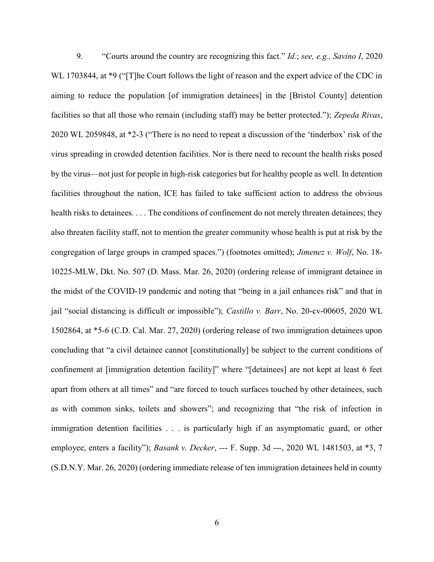9. "Courts around the country are recognizing this fact." *Id.*; see, e.g., Savino I, 2020 WL 1703844, at \*9 ("T]he Court follows the light of reason and the expert advice of the CDC in aiming to reduce the population [of immigration detainees] in the [Bristol County] detention facilities so that all those who remain (including staff) may be better protected."); Zepeda Rivas, 2020 WL 2059848, at \*2-3 ("There is no need to repeat a discussion of the 'tinderbox' risk of the virus spreading in crowded detention facilities. Nor is there need to recount the health risks posed by the virus—not just for people in high-risk categories but for healthy people as well. In detention facilities throughout the nation, ICE has failed to take sufficient action to address the obvious health risks to detainees. . . . The conditions of confinement do not merely threaten detainees; they also threaten facility staff, not to mention the greater community whose health is put at risk by the congregation of large groups in cramped spaces.") (footnotes omitted); *Jimenez v. Wolf*, No. 18-10225-MLW, Dkt. No. 507 (D. Mass. Mar. 26, 2020) (ordering release of immigrant detainee in the midst of the COVID-19 pandemic and noting that "being in a jail enhances risk" and that in jail "social distancing is difficult or impossible"); Castillo v. Barr, No. 20-cv-00605, 2020 WL 1502864, at \*5-6 (C.D. Cal. Mar. 27, 2020) (ordering release of two immigration detainees upon concluding that "a civil detainee cannot [constitutionally] be subject to the current conditions of confinement at [immigration detention facility]" where "[detainees] are not kept at least 6 feet apart from others at all times" and "are forced to touch surfaces touched by other detainees, such as with common sinks, toilets and showers"; and recognizing that "the risk of infection in immigration detention facilities . . . is particularly high if an asymptomatic guard, or other employee, enters a facility"); *Basank v. Decker*, --- F. Supp. 3d ---, 2020 WL 1481503, at \*3, 7 (S.D.N.Y. Mar. 26, 2020) (ordering immediate release of ten immigration detainees held in county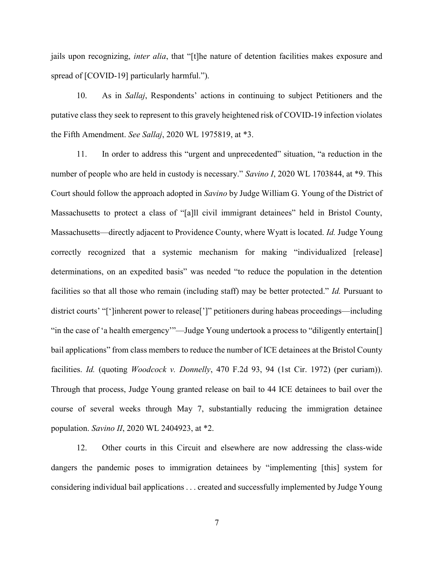jails upon recognizing, *inter alia*, that "[t]he nature of detention facilities makes exposure and spread of [COVID-19] particularly harmful.").

10. As in Sallaj, Respondents' actions in continuing to subject Petitioners and the putative class they seek to represent to this gravely heightened risk of COVID-19 infection violates the Fifth Amendment. See Sallaj, 2020 WL 1975819, at \*3.

11. In order to address this "urgent and unprecedented" situation, "a reduction in the number of people who are held in custody is necessary." Savino I, 2020 WL 1703844, at \*9. This Court should follow the approach adopted in Savino by Judge William G. Young of the District of Massachusetts to protect a class of "[a]ll civil immigrant detainees" held in Bristol County, Massachusetts—directly adjacent to Providence County, where Wyatt is located. Id. Judge Young correctly recognized that a systemic mechanism for making "individualized [release] determinations, on an expedited basis" was needed "to reduce the population in the detention facilities so that all those who remain (including staff) may be better protected." Id. Pursuant to district courts' "[']inherent power to release[']" petitioners during habeas proceedings—including "in the case of 'a health emergency'"—Judge Young undertook a process to "diligently entertain[] bail applications" from class members to reduce the number of ICE detainees at the Bristol County facilities. Id. (quoting Woodcock v. Donnelly, 470 F.2d 93, 94 (1st Cir. 1972) (per curiam)). Through that process, Judge Young granted release on bail to 44 ICE detainees to bail over the course of several weeks through May 7, substantially reducing the immigration detainee population. Savino II, 2020 WL 2404923, at \*2.

12. Other courts in this Circuit and elsewhere are now addressing the class-wide dangers the pandemic poses to immigration detainees by "implementing [this] system for considering individual bail applications . . . created and successfully implemented by Judge Young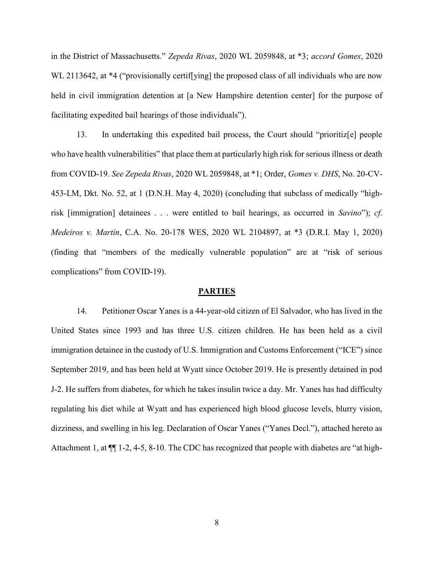in the District of Massachusetts." Zepeda Rivas, 2020 WL 2059848, at \*3; accord Gomes, 2020 WL 2113642, at \*4 ("provisionally certif [ying] the proposed class of all individuals who are now held in civil immigration detention at [a New Hampshire detention center] for the purpose of facilitating expedited bail hearings of those individuals").

13. In undertaking this expedited bail process, the Court should "prioritiz[e] people who have health vulnerabilities" that place them at particularly high risk for serious illness or death from COVID-19. See Zepeda Rivas, 2020 WL 2059848, at \*1; Order, Gomes v. DHS, No. 20-CV-453-LM, Dkt. No. 52, at 1 (D.N.H. May 4, 2020) (concluding that subclass of medically "highrisk [immigration] detainees . . . were entitled to bail hearings, as occurred in Savino"); cf. Medeiros v. Martin, C.A. No. 20-178 WES, 2020 WL 2104897, at \*3 (D.R.I. May 1, 2020) (finding that "members of the medically vulnerable population" are at "risk of serious complications" from COVID-19).

#### PARTIES

14. Petitioner Oscar Yanes is a 44-year-old citizen of El Salvador, who has lived in the United States since 1993 and has three U.S. citizen children. He has been held as a civil immigration detainee in the custody of U.S. Immigration and Customs Enforcement ("ICE") since September 2019, and has been held at Wyatt since October 2019. He is presently detained in pod J-2. He suffers from diabetes, for which he takes insulin twice a day. Mr. Yanes has had difficulty regulating his diet while at Wyatt and has experienced high blood glucose levels, blurry vision, dizziness, and swelling in his leg. Declaration of Oscar Yanes ("Yanes Decl."), attached hereto as Attachment 1, at ¶¶ 1-2, 4-5, 8-10. The CDC has recognized that people with diabetes are "at high-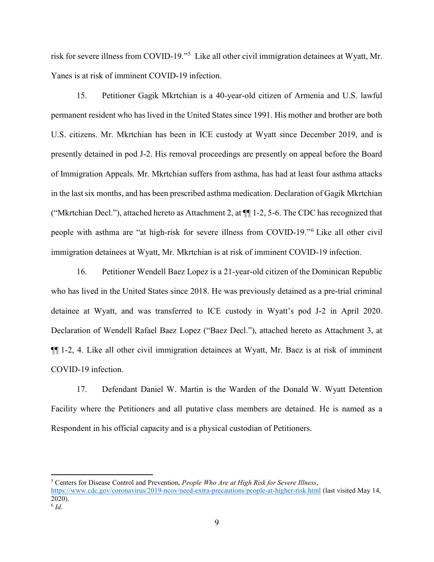risk for severe illness from COVID-19."<sup>5</sup> Like all other civil immigration detainees at Wyatt, Mr. Yanes is at risk of imminent COVID-19 infection.

15. Petitioner Gagik Mkrtchian is a 40-year-old citizen of Armenia and U.S. lawful permanent resident who has lived in the United States since 1991. His mother and brother are both U.S. citizens. Mr. Mkrtchian has been in ICE custody at Wyatt since December 2019, and is presently detained in pod J-2. His removal proceedings are presently on appeal before the Board of Immigration Appeals. Mr. Mkrtchian suffers from asthma, has had at least four asthma attacks in the last six months, and has been prescribed asthma medication. Declaration of Gagik Mkrtchian ("Mkrtchian Decl."), attached hereto as Attachment 2, at ¶¶ 1-2, 5-6. The CDC has recognized that people with asthma are "at high-risk for severe illness from COVID-19."<sup>6</sup> Like all other civil immigration detainees at Wyatt, Mr. Mkrtchian is at risk of imminent COVID-19 infection.

16. Petitioner Wendell Baez Lopez is a 21-year-old citizen of the Dominican Republic who has lived in the United States since 2018. He was previously detained as a pre-trial criminal detainee at Wyatt, and was transferred to ICE custody in Wyatt's pod J-2 in April 2020. Declaration of Wendell Rafael Baez Lopez ("Baez Decl."), attached hereto as Attachment 3, at ¶¶ 1-2, 4. Like all other civil immigration detainees at Wyatt, Mr. Baez is at risk of imminent COVID-19 infection.

17. Defendant Daniel W. Martin is the Warden of the Donald W. Wyatt Detention Facility where the Petitioners and all putative class members are detained. He is named as a Respondent in his official capacity and is a physical custodian of Petitioners.

<sup>&</sup>lt;sup>5</sup> Centers for Disease Control and Prevention, *People Who Are at High Risk for Severe Illness*,

https://www.cdc.gov/coronavirus/2019-ncov/need-extra-precautions/people-at-higher-risk.html (last visited May 14, 2020).

 $6$  Id.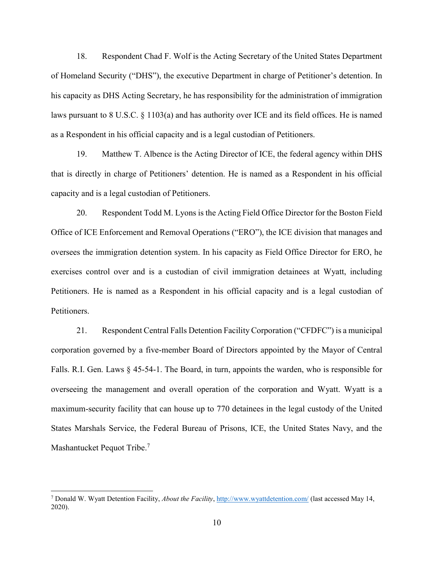18. Respondent Chad F. Wolf is the Acting Secretary of the United States Department of Homeland Security ("DHS"), the executive Department in charge of Petitioner's detention. In his capacity as DHS Acting Secretary, he has responsibility for the administration of immigration laws pursuant to 8 U.S.C. § 1103(a) and has authority over ICE and its field offices. He is named as a Respondent in his official capacity and is a legal custodian of Petitioners.

19. Matthew T. Albence is the Acting Director of ICE, the federal agency within DHS that is directly in charge of Petitioners' detention. He is named as a Respondent in his official capacity and is a legal custodian of Petitioners.

20. Respondent Todd M. Lyons is the Acting Field Office Director for the Boston Field Office of ICE Enforcement and Removal Operations ("ERO"), the ICE division that manages and oversees the immigration detention system. In his capacity as Field Office Director for ERO, he exercises control over and is a custodian of civil immigration detainees at Wyatt, including Petitioners. He is named as a Respondent in his official capacity and is a legal custodian of Petitioners.

21. Respondent Central Falls Detention Facility Corporation ("CFDFC") is a municipal corporation governed by a five-member Board of Directors appointed by the Mayor of Central Falls. R.I. Gen. Laws § 45-54-1. The Board, in turn, appoints the warden, who is responsible for overseeing the management and overall operation of the corporation and Wyatt. Wyatt is a maximum-security facility that can house up to 770 detainees in the legal custody of the United States Marshals Service, the Federal Bureau of Prisons, ICE, the United States Navy, and the Mashantucket Pequot Tribe.<sup>7</sup>

<sup>&</sup>lt;sup>7</sup> Donald W. Wyatt Detention Facility, *About the Facility*,  $\frac{http://www.wystdetection.com/}$  (last accessed May 14, 2020).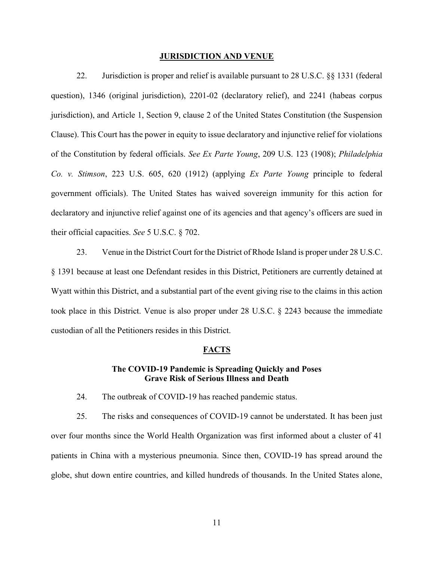#### JURISDICTION AND VENUE

22. Jurisdiction is proper and relief is available pursuant to 28 U.S.C. §§ 1331 (federal question), 1346 (original jurisdiction), 2201-02 (declaratory relief), and 2241 (habeas corpus jurisdiction), and Article 1, Section 9, clause 2 of the United States Constitution (the Suspension Clause). This Court has the power in equity to issue declaratory and injunctive relief for violations of the Constitution by federal officials. See Ex Parte Young, 209 U.S. 123 (1908); Philadelphia Co. v. Stimson, 223 U.S. 605, 620 (1912) (applying Ex Parte Young principle to federal government officials). The United States has waived sovereign immunity for this action for declaratory and injunctive relief against one of its agencies and that agency's officers are sued in their official capacities. See 5 U.S.C. § 702.

23. Venue in the District Court for the District of Rhode Island is proper under 28 U.S.C. § 1391 because at least one Defendant resides in this District, Petitioners are currently detained at Wyatt within this District, and a substantial part of the event giving rise to the claims in this action took place in this District. Venue is also proper under 28 U.S.C. § 2243 because the immediate custodian of all the Petitioners resides in this District.

#### FACTS

### The COVID-19 Pandemic is Spreading Quickly and Poses Grave Risk of Serious Illness and Death

24. The outbreak of COVID-19 has reached pandemic status.

25. The risks and consequences of COVID-19 cannot be understated. It has been just over four months since the World Health Organization was first informed about a cluster of 41 patients in China with a mysterious pneumonia. Since then, COVID-19 has spread around the globe, shut down entire countries, and killed hundreds of thousands. In the United States alone,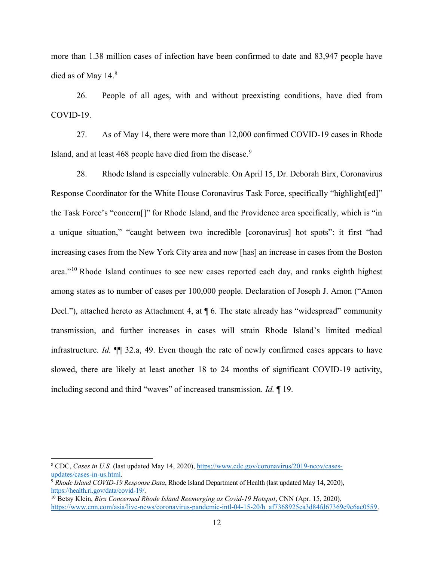more than 1.38 million cases of infection have been confirmed to date and 83,947 people have died as of May  $14.8$ 

26. People of all ages, with and without preexisting conditions, have died from COVID-19.

27. As of May 14, there were more than 12,000 confirmed COVID-19 cases in Rhode Island, and at least 468 people have died from the disease.<sup>9</sup>

28. Rhode Island is especially vulnerable. On April 15, Dr. Deborah Birx, Coronavirus Response Coordinator for the White House Coronavirus Task Force, specifically "highlight[ed]" the Task Force's "concern[]" for Rhode Island, and the Providence area specifically, which is "in a unique situation," "caught between two incredible [coronavirus] hot spots": it first "had increasing cases from the New York City area and now [has] an increase in cases from the Boston area."<sup>10</sup> Rhode Island continues to see new cases reported each day, and ranks eighth highest among states as to number of cases per 100,000 people. Declaration of Joseph J. Amon ("Amon Decl."), attached hereto as Attachment 4, at  $\P$  6. The state already has "widespread" community transmission, and further increases in cases will strain Rhode Island's limited medical infrastructure. Id. ¶¶ 32.a, 49. Even though the rate of newly confirmed cases appears to have slowed, there are likely at least another 18 to 24 months of significant COVID-19 activity, including second and third "waves" of increased transmission. Id. ¶ 19.

 $\overline{a}$ 

<sup>&</sup>lt;sup>8</sup> CDC, Cases in U.S. (last updated May 14, 2020), https://www.cdc.gov/coronavirus/2019-ncov/casesupdates/cases-in-us.html.

<sup>&</sup>lt;sup>9</sup> Rhode Island COVID-19 Response Data, Rhode Island Department of Health (last updated May 14, 2020), https://health.ri.gov/data/covid-19/.

 $\frac{10}{10}$  Betsy Klein, *Birx Concerned Rhode Island Reemerging as Covid-19 Hotspot*, CNN (Apr. 15, 2020), https://www.cnn.com/asia/live-news/coronavirus-pandemic-intl-04-15-20/h\_af7368925ea3d84fd67369e9e6ac0559.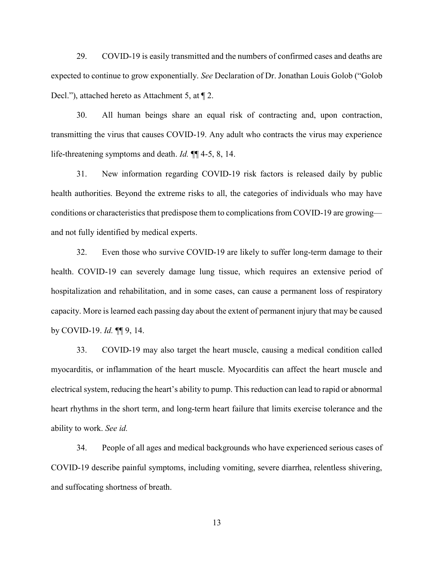29. COVID-19 is easily transmitted and the numbers of confirmed cases and deaths are expected to continue to grow exponentially. See Declaration of Dr. Jonathan Louis Golob ("Golob Decl."), attached hereto as Attachment 5, at ¶ 2.

30. All human beings share an equal risk of contracting and, upon contraction, transmitting the virus that causes COVID-19. Any adult who contracts the virus may experience life-threatening symptoms and death. *Id.*  $\P$  4-5, 8, 14.

31. New information regarding COVID-19 risk factors is released daily by public health authorities. Beyond the extreme risks to all, the categories of individuals who may have conditions or characteristics that predispose them to complications from COVID-19 are growing and not fully identified by medical experts.

32. Even those who survive COVID-19 are likely to suffer long-term damage to their health. COVID-19 can severely damage lung tissue, which requires an extensive period of hospitalization and rehabilitation, and in some cases, can cause a permanent loss of respiratory capacity. More is learned each passing day about the extent of permanent injury that may be caused by COVID-19. Id. ¶¶ 9, 14.

33. COVID-19 may also target the heart muscle, causing a medical condition called myocarditis, or inflammation of the heart muscle. Myocarditis can affect the heart muscle and electrical system, reducing the heart's ability to pump. This reduction can lead to rapid or abnormal heart rhythms in the short term, and long-term heart failure that limits exercise tolerance and the ability to work. See id.

34. People of all ages and medical backgrounds who have experienced serious cases of COVID-19 describe painful symptoms, including vomiting, severe diarrhea, relentless shivering, and suffocating shortness of breath.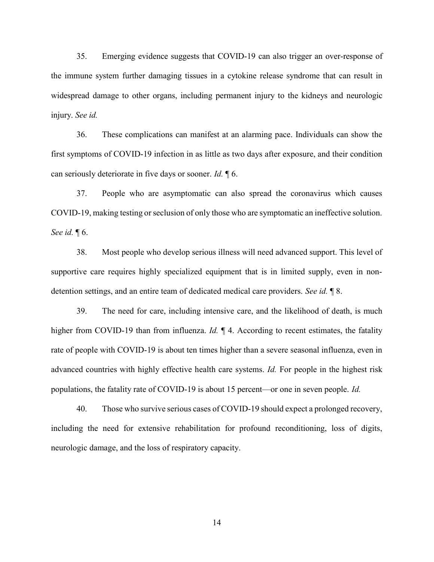35. Emerging evidence suggests that COVID-19 can also trigger an over-response of the immune system further damaging tissues in a cytokine release syndrome that can result in widespread damage to other organs, including permanent injury to the kidneys and neurologic injury. See id.

36. These complications can manifest at an alarming pace. Individuals can show the first symptoms of COVID-19 infection in as little as two days after exposure, and their condition can seriously deteriorate in five days or sooner. Id. ¶ 6.

37. People who are asymptomatic can also spread the coronavirus which causes COVID-19, making testing or seclusion of only those who are symptomatic an ineffective solution. See id.  $\P$  6.

38. Most people who develop serious illness will need advanced support. This level of supportive care requires highly specialized equipment that is in limited supply, even in nondetention settings, and an entire team of dedicated medical care providers. See id.  $\lbrack \! \lbrack$  8.

39. The need for care, including intensive care, and the likelihood of death, is much higher from COVID-19 than from influenza. *Id.*  $\parallel$  4. According to recent estimates, the fatality rate of people with COVID-19 is about ten times higher than a severe seasonal influenza, even in advanced countries with highly effective health care systems. Id. For people in the highest risk populations, the fatality rate of COVID-19 is about 15 percent—or one in seven people. Id.

40. Those who survive serious cases of COVID-19 should expect a prolonged recovery, including the need for extensive rehabilitation for profound reconditioning, loss of digits, neurologic damage, and the loss of respiratory capacity.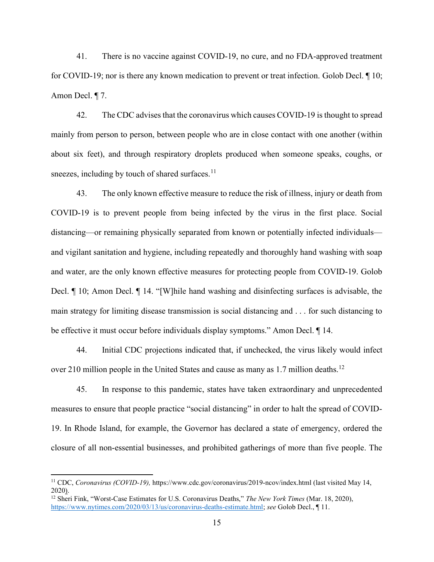41. There is no vaccine against COVID-19, no cure, and no FDA-approved treatment for COVID-19; nor is there any known medication to prevent or treat infection. Golob Decl. ¶ 10; Amon Decl. ¶ 7.

42. The CDC advises that the coronavirus which causes COVID-19 is thought to spread mainly from person to person, between people who are in close contact with one another (within about six feet), and through respiratory droplets produced when someone speaks, coughs, or sneezes, including by touch of shared surfaces. $11$ 

43. The only known effective measure to reduce the risk of illness, injury or death from COVID-19 is to prevent people from being infected by the virus in the first place. Social distancing—or remaining physically separated from known or potentially infected individuals and vigilant sanitation and hygiene, including repeatedly and thoroughly hand washing with soap and water, are the only known effective measures for protecting people from COVID-19. Golob Decl. ¶ 10; Amon Decl. ¶ 14. "[W]hile hand washing and disinfecting surfaces is advisable, the main strategy for limiting disease transmission is social distancing and . . . for such distancing to be effective it must occur before individuals display symptoms." Amon Decl. ¶ 14.

44. Initial CDC projections indicated that, if unchecked, the virus likely would infect over 210 million people in the United States and cause as many as 1.7 million deaths.<sup>12</sup>

45. In response to this pandemic, states have taken extraordinary and unprecedented measures to ensure that people practice "social distancing" in order to halt the spread of COVID-19. In Rhode Island, for example, the Governor has declared a state of emergency, ordered the closure of all non-essential businesses, and prohibited gatherings of more than five people. The

<sup>&</sup>lt;sup>11</sup> CDC, Coronavirus (COVID-19), https://www.cdc.gov/coronavirus/2019-ncov/index.html (last visited May 14, 2020).

<sup>&</sup>lt;sup>12</sup> Sheri Fink, "Worst-Case Estimates for U.S. Coronavirus Deaths," The New York Times (Mar. 18, 2020), https://www.nytimes.com/2020/03/13/us/coronavirus-deaths-estimate.html; see Golob Decl., ¶ 11.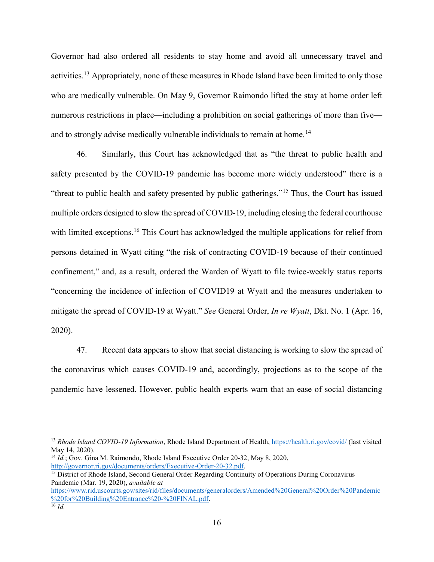Governor had also ordered all residents to stay home and avoid all unnecessary travel and activities.<sup>13</sup> Appropriately, none of these measures in Rhode Island have been limited to only those who are medically vulnerable. On May 9, Governor Raimondo lifted the stay at home order left numerous restrictions in place—including a prohibition on social gatherings of more than five and to strongly advise medically vulnerable individuals to remain at home.<sup>14</sup>

46. Similarly, this Court has acknowledged that as "the threat to public health and safety presented by the COVID-19 pandemic has become more widely understood" there is a "threat to public health and safety presented by public gatherings."<sup>15</sup> Thus, the Court has issued multiple orders designed to slow the spread of COVID-19, including closing the federal courthouse with limited exceptions.<sup>16</sup> This Court has acknowledged the multiple applications for relief from persons detained in Wyatt citing "the risk of contracting COVID-19 because of their continued confinement," and, as a result, ordered the Warden of Wyatt to file twice-weekly status reports "concerning the incidence of infection of COVID19 at Wyatt and the measures undertaken to mitigate the spread of COVID-19 at Wyatt." See General Order, In re Wyatt, Dkt. No. 1 (Apr. 16, 2020).

47. Recent data appears to show that social distancing is working to slow the spread of the coronavirus which causes COVID-19 and, accordingly, projections as to the scope of the pandemic have lessened. However, public health experts warn that an ease of social distancing

 $\overline{a}$ 

<sup>&</sup>lt;sup>13</sup> Rhode Island COVID-19 Information, Rhode Island Department of Health, https://health.ri.gov/covid/ (last visited May 14, 2020).

 $14$  Id.; Gov. Gina M. Raimondo, Rhode Island Executive Order 20-32, May 8, 2020, http://governor.ri.gov/documents/orders/Executive-Order-20-32.pdf.

<sup>&</sup>lt;sup>15</sup> District of Rhode Island, Second General Order Regarding Continuity of Operations During Coronavirus Pandemic (Mar. 19, 2020), available at

https://www.rid.uscourts.gov/sites/rid/files/documents/generalorders/Amended%20General%20Order%20Pandemic %20for%20Building%20Entrance%20-%20FINAL.pdf.  $\overline{16}$  *Id.*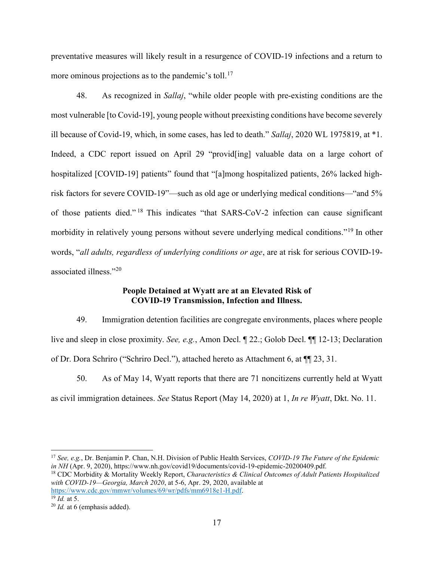preventative measures will likely result in a resurgence of COVID-19 infections and a return to more ominous projections as to the pandemic's toll.<sup>17</sup>

48. As recognized in Sallaj, "while older people with pre-existing conditions are the most vulnerable [to Covid-19], young people without preexisting conditions have become severely ill because of Covid-19, which, in some cases, has led to death." Sallaj, 2020 WL 1975819, at \*1. Indeed, a CDC report issued on April 29 "provid[ing] valuable data on a large cohort of hospitalized [COVID-19] patients" found that "[a]mong hospitalized patients, 26% lacked highrisk factors for severe COVID-19"—such as old age or underlying medical conditions—"and 5% of those patients died." <sup>18</sup> This indicates "that SARS-CoV-2 infection can cause significant morbidity in relatively young persons without severe underlying medical conditions."<sup>19</sup> In other words, "all adults, regardless of underlying conditions or age, are at risk for serious COVID-19 associated illness."<sup>20</sup>

# People Detained at Wyatt are at an Elevated Risk of COVID-19 Transmission, Infection and Illness.

49. Immigration detention facilities are congregate environments, places where people live and sleep in close proximity. See, e.g., Amon Decl. ¶ 22.; Golob Decl. ¶¶ 12-13; Declaration of Dr. Dora Schriro ("Schriro Decl."), attached hereto as Attachment 6, at ¶¶ 23, 31.

50. As of May 14, Wyatt reports that there are 71 noncitizens currently held at Wyatt as civil immigration detainees. See Status Report (May 14, 2020) at 1, In re Wyatt, Dkt. No. 11.

<sup>&</sup>lt;sup>17</sup> See, e.g., Dr. Benjamin P. Chan, N.H. Division of Public Health Services, *COVID-19 The Future of the Epidemic* in NH (Apr. 9, 2020), https://www.nh.gov/covid19/documents/covid-19-epidemic-20200409.pdf.

<sup>&</sup>lt;sup>18</sup> CDC Morbidity & Mortality Weekly Report, Characteristics & Clinical Outcomes of Adult Patients Hospitalized with COVID-19—Georgia, March 2020, at 5-6, Apr. 29, 2020, available at

https://www.cdc.gov/mmwr/volumes/69/wr/pdfs/mm6918e1-H.pdf.  $^{19}$  *Id.* at 5.

 $20$  *Id.* at 6 (emphasis added).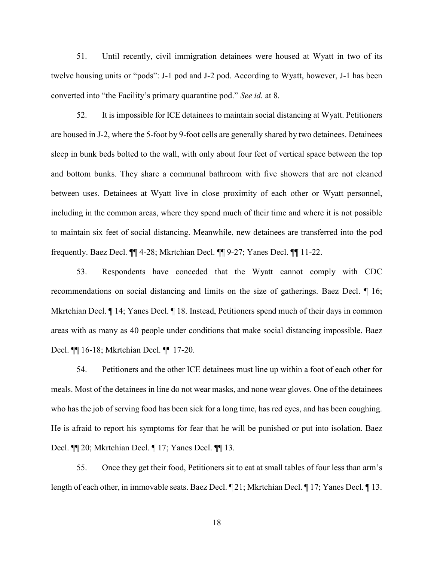51. Until recently, civil immigration detainees were housed at Wyatt in two of its twelve housing units or "pods": J-1 pod and J-2 pod. According to Wyatt, however, J-1 has been converted into "the Facility's primary quarantine pod." See id. at 8.

52. It is impossible for ICE detainees to maintain social distancing at Wyatt. Petitioners are housed in J-2, where the 5-foot by 9-foot cells are generally shared by two detainees. Detainees sleep in bunk beds bolted to the wall, with only about four feet of vertical space between the top and bottom bunks. They share a communal bathroom with five showers that are not cleaned between uses. Detainees at Wyatt live in close proximity of each other or Wyatt personnel, including in the common areas, where they spend much of their time and where it is not possible to maintain six feet of social distancing. Meanwhile, new detainees are transferred into the pod frequently. Baez Decl. ¶¶ 4-28; Mkrtchian Decl. ¶¶ 9-27; Yanes Decl. ¶¶ 11-22.

53. Respondents have conceded that the Wyatt cannot comply with CDC recommendations on social distancing and limits on the size of gatherings. Baez Decl. ¶ 16; Mkrtchian Decl.  $\P$  14; Yanes Decl.  $\P$  18. Instead, Petitioners spend much of their days in common areas with as many as 40 people under conditions that make social distancing impossible. Baez Decl. ¶¶ 16-18; Mkrtchian Decl. ¶¶ 17-20.

54. Petitioners and the other ICE detainees must line up within a foot of each other for meals. Most of the detainees in line do not wear masks, and none wear gloves. One of the detainees who has the job of serving food has been sick for a long time, has red eyes, and has been coughing. He is afraid to report his symptoms for fear that he will be punished or put into isolation. Baez Decl. ¶¶ 20; Mkrtchian Decl. ¶ 17; Yanes Decl. ¶¶ 13.

55. Once they get their food, Petitioners sit to eat at small tables of four less than arm's length of each other, in immovable seats. Baez Decl. ¶ 21; Mkrtchian Decl. ¶ 17; Yanes Decl. ¶ 13.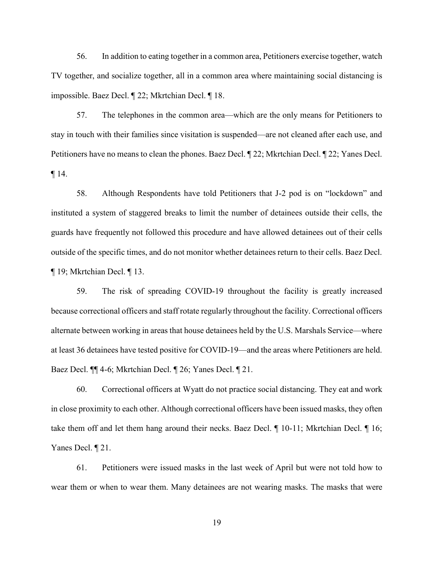56. In addition to eating together in a common area, Petitioners exercise together, watch TV together, and socialize together, all in a common area where maintaining social distancing is impossible. Baez Decl. ¶ 22; Mkrtchian Decl. ¶ 18.

57. The telephones in the common area—which are the only means for Petitioners to stay in touch with their families since visitation is suspended—are not cleaned after each use, and Petitioners have no means to clean the phones. Baez Decl. ¶ 22; Mkrtchian Decl. ¶ 22; Yanes Decl. ¶ 14.

58. Although Respondents have told Petitioners that J-2 pod is on "lockdown" and instituted a system of staggered breaks to limit the number of detainees outside their cells, the guards have frequently not followed this procedure and have allowed detainees out of their cells outside of the specific times, and do not monitor whether detainees return to their cells. Baez Decl. ¶ 19; Mkrtchian Decl. ¶ 13.

59. The risk of spreading COVID-19 throughout the facility is greatly increased because correctional officers and staff rotate regularly throughout the facility. Correctional officers alternate between working in areas that house detainees held by the U.S. Marshals Service—where at least 36 detainees have tested positive for COVID-19—and the areas where Petitioners are held. Baez Decl. ¶¶ 4-6; Mkrtchian Decl. ¶ 26; Yanes Decl. ¶ 21.

60. Correctional officers at Wyatt do not practice social distancing. They eat and work in close proximity to each other. Although correctional officers have been issued masks, they often take them off and let them hang around their necks. Baez Decl. ¶ 10-11; Mkrtchian Decl. ¶ 16; Yanes Decl. ¶ 21.

61. Petitioners were issued masks in the last week of April but were not told how to wear them or when to wear them. Many detainees are not wearing masks. The masks that were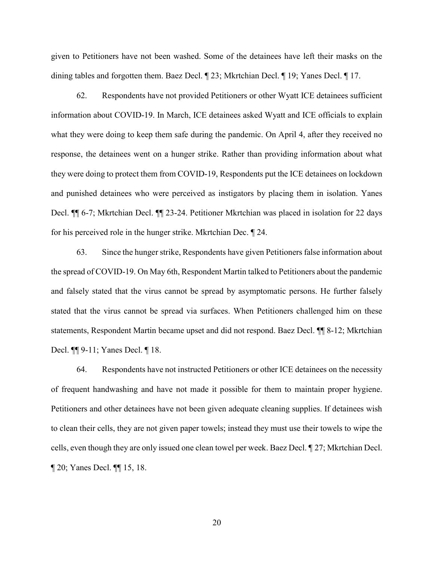given to Petitioners have not been washed. Some of the detainees have left their masks on the dining tables and forgotten them. Baez Decl. ¶ 23; Mkrtchian Decl. ¶ 19; Yanes Decl. ¶ 17.

62. Respondents have not provided Petitioners or other Wyatt ICE detainees sufficient information about COVID-19. In March, ICE detainees asked Wyatt and ICE officials to explain what they were doing to keep them safe during the pandemic. On April 4, after they received no response, the detainees went on a hunger strike. Rather than providing information about what they were doing to protect them from COVID-19, Respondents put the ICE detainees on lockdown and punished detainees who were perceived as instigators by placing them in isolation. Yanes Decl. ¶¶ 6-7; Mkrtchian Decl. ¶¶ 23-24. Petitioner Mkrtchian was placed in isolation for 22 days for his perceived role in the hunger strike. Mkrtchian Dec. ¶ 24.

63. Since the hunger strike, Respondents have given Petitioners false information about the spread of COVID-19. On May 6th, Respondent Martin talked to Petitioners about the pandemic and falsely stated that the virus cannot be spread by asymptomatic persons. He further falsely stated that the virus cannot be spread via surfaces. When Petitioners challenged him on these statements, Respondent Martin became upset and did not respond. Baez Decl. ¶¶ 8-12; Mkrtchian Decl. ¶¶ 9-11; Yanes Decl. ¶ 18.

64. Respondents have not instructed Petitioners or other ICE detainees on the necessity of frequent handwashing and have not made it possible for them to maintain proper hygiene. Petitioners and other detainees have not been given adequate cleaning supplies. If detainees wish to clean their cells, they are not given paper towels; instead they must use their towels to wipe the cells, even though they are only issued one clean towel per week. Baez Decl. ¶ 27; Mkrtchian Decl. ¶ 20; Yanes Decl. ¶¶ 15, 18.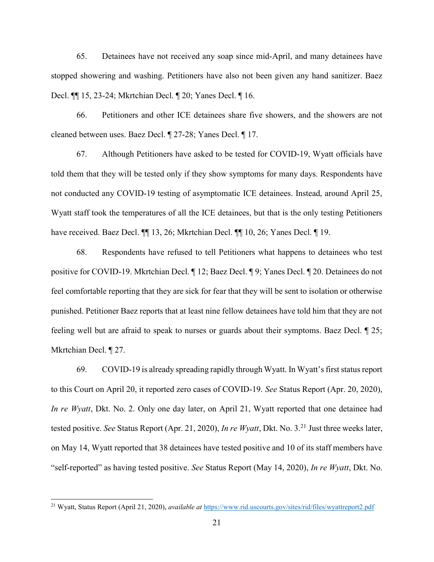65. Detainees have not received any soap since mid-April, and many detainees have stopped showering and washing. Petitioners have also not been given any hand sanitizer. Baez Decl. ¶¶ 15, 23-24; Mkrtchian Decl. ¶ 20; Yanes Decl. ¶ 16.

66. Petitioners and other ICE detainees share five showers, and the showers are not cleaned between uses. Baez Decl. ¶ 27-28; Yanes Decl. ¶ 17.

67. Although Petitioners have asked to be tested for COVID-19, Wyatt officials have told them that they will be tested only if they show symptoms for many days. Respondents have not conducted any COVID-19 testing of asymptomatic ICE detainees. Instead, around April 25, Wyatt staff took the temperatures of all the ICE detainees, but that is the only testing Petitioners have received. Baez Decl.  $\P\P$  13, 26; Mkrtchian Decl.  $\P$  10, 26; Yanes Decl.  $\P$  19.

68. Respondents have refused to tell Petitioners what happens to detainees who test positive for COVID-19. Mkrtchian Decl. ¶ 12; Baez Decl. ¶ 9; Yanes Decl. ¶ 20. Detainees do not feel comfortable reporting that they are sick for fear that they will be sent to isolation or otherwise punished. Petitioner Baez reports that at least nine fellow detainees have told him that they are not feeling well but are afraid to speak to nurses or guards about their symptoms. Baez Decl. ¶ 25; Mkrtchian Decl. ¶ 27.

69. COVID-19 is already spreading rapidly through Wyatt. In Wyatt's first status report to this Court on April 20, it reported zero cases of COVID-19. See Status Report (Apr. 20, 2020), In re Wyatt, Dkt. No. 2. Only one day later, on April 21, Wyatt reported that one detainee had tested positive. See Status Report (Apr. 21, 2020), In re Wyatt, Dkt. No. 3.<sup>21</sup> Just three weeks later, on May 14, Wyatt reported that 38 detainees have tested positive and 10 of its staff members have "self-reported" as having tested positive. See Status Report (May 14, 2020), In re Wyatt, Dkt. No.

<sup>&</sup>lt;sup>21</sup> Wyatt, Status Report (April 21, 2020), *available at https://www.rid.uscourts.gov/sites/rid/files/wyattreport2.pdf*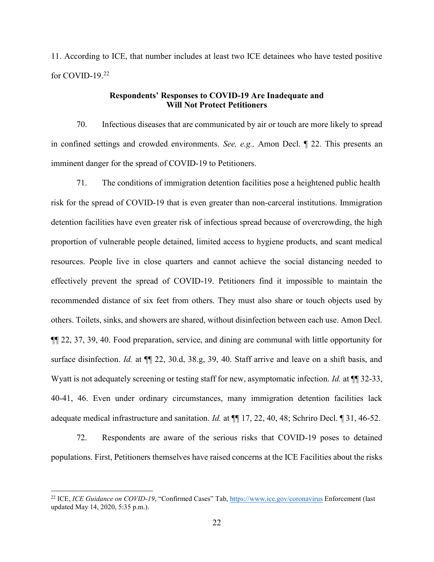11. According to ICE, that number includes at least two ICE detainees who have tested positive for COVID-19. $^{22}$ 

### Respondents' Responses to COVID-19 Are Inadequate and Will Not Protect Petitioners

70. Infectious diseases that are communicated by air or touch are more likely to spread in confined settings and crowded environments. See, e.g., Amon Decl. ¶ 22. This presents an imminent danger for the spread of COVID-19 to Petitioners.

71. The conditions of immigration detention facilities pose a heightened public health risk for the spread of COVID-19 that is even greater than non-carceral institutions. Immigration detention facilities have even greater risk of infectious spread because of overcrowding, the high proportion of vulnerable people detained, limited access to hygiene products, and scant medical resources. People live in close quarters and cannot achieve the social distancing needed to effectively prevent the spread of COVID-19. Petitioners find it impossible to maintain the recommended distance of six feet from others. They must also share or touch objects used by others. Toilets, sinks, and showers are shared, without disinfection between each use. Amon Decl. ¶¶ 22, 37, 39, 40. Food preparation, service, and dining are communal with little opportunity for surface disinfection. Id. at  $\P$  22, 30.d, 38.g, 39, 40. Staff arrive and leave on a shift basis, and Wyatt is not adequately screening or testing staff for new, asymptomatic infection. Id. at  $\P$  32-33, 40-41, 46. Even under ordinary circumstances, many immigration detention facilities lack adequate medical infrastructure and sanitation. Id. at ¶¶ 17, 22, 40, 48; Schriro Decl. ¶ 31, 46-52.

72. Respondents are aware of the serious risks that COVID-19 poses to detained populations. First, Petitioners themselves have raised concerns at the ICE Facilities about the risks

<sup>&</sup>lt;sup>22</sup> ICE, *ICE Guidance on COVID-19*, "Confirmed Cases" Tab, https://www.ice.gov/coronavirus Enforcement (last updated May 14, 2020, 5:35 p.m.).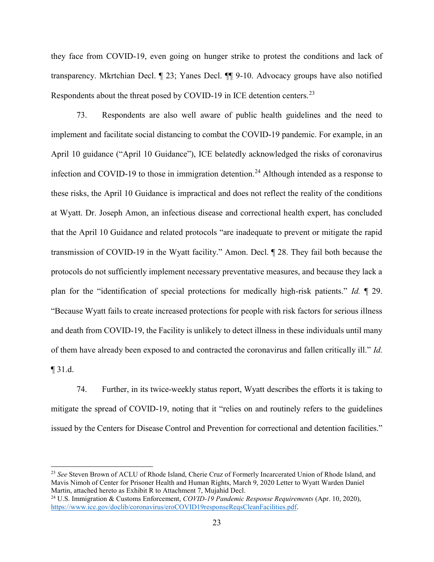they face from COVID-19, even going on hunger strike to protest the conditions and lack of transparency. Mkrtchian Decl. ¶ 23; Yanes Decl. ¶¶ 9-10. Advocacy groups have also notified Respondents about the threat posed by COVID-19 in ICE detention centers.<sup>23</sup>

73. Respondents are also well aware of public health guidelines and the need to implement and facilitate social distancing to combat the COVID-19 pandemic. For example, in an April 10 guidance ("April 10 Guidance"), ICE belatedly acknowledged the risks of coronavirus infection and COVID-19 to those in immigration detention.<sup>24</sup> Although intended as a response to these risks, the April 10 Guidance is impractical and does not reflect the reality of the conditions at Wyatt. Dr. Joseph Amon, an infectious disease and correctional health expert, has concluded that the April 10 Guidance and related protocols "are inadequate to prevent or mitigate the rapid transmission of COVID-19 in the Wyatt facility." Amon. Decl. ¶ 28. They fail both because the protocols do not sufficiently implement necessary preventative measures, and because they lack a plan for the "identification of special protections for medically high-risk patients." Id. ¶ 29. "Because Wyatt fails to create increased protections for people with risk factors for serious illness and death from COVID-19, the Facility is unlikely to detect illness in these individuals until many of them have already been exposed to and contracted the coronavirus and fallen critically ill." Id. ¶ 31.d.

74. Further, in its twice-weekly status report, Wyatt describes the efforts it is taking to mitigate the spread of COVID-19, noting that it "relies on and routinely refers to the guidelines issued by the Centers for Disease Control and Prevention for correctional and detention facilities."

<sup>&</sup>lt;sup>23</sup> See Steven Brown of ACLU of Rhode Island, Cherie Cruz of Formerly Incarcerated Union of Rhode Island, and Mavis Nimoh of Center for Prisoner Health and Human Rights, March 9, 2020 Letter to Wyatt Warden Daniel Martin, attached hereto as Exhibit R to Attachment 7, Mujahid Decl.

<sup>&</sup>lt;sup>24</sup> U.S. Immigration & Customs Enforcement, *COVID-19 Pandemic Response Requirements* (Apr. 10, 2020), https://www.ice.gov/doclib/coronavirus/eroCOVID19responseReqsCleanFacilities.pdf.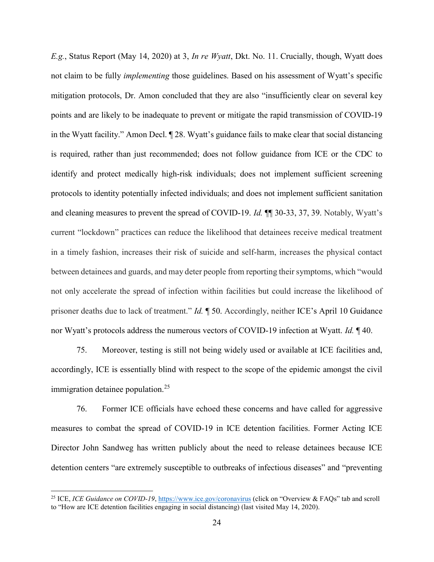E.g., Status Report (May 14, 2020) at 3, In re Wyatt, Dkt. No. 11. Crucially, though, Wyatt does not claim to be fully implementing those guidelines. Based on his assessment of Wyatt's specific mitigation protocols, Dr. Amon concluded that they are also "insufficiently clear on several key points and are likely to be inadequate to prevent or mitigate the rapid transmission of COVID-19 in the Wyatt facility." Amon Decl. ¶ 28. Wyatt's guidance fails to make clear that social distancing is required, rather than just recommended; does not follow guidance from ICE or the CDC to identify and protect medically high-risk individuals; does not implement sufficient screening protocols to identity potentially infected individuals; and does not implement sufficient sanitation and cleaning measures to prevent the spread of COVID-19. Id. ¶¶ 30-33, 37, 39. Notably, Wyatt's current "lockdown" practices can reduce the likelihood that detainees receive medical treatment in a timely fashion, increases their risk of suicide and self-harm, increases the physical contact between detainees and guards, and may deter people from reporting their symptoms, which "would not only accelerate the spread of infection within facilities but could increase the likelihood of prisoner deaths due to lack of treatment." *Id.*  $\parallel$  50. Accordingly, neither ICE's April 10 Guidance nor Wyatt's protocols address the numerous vectors of COVID-19 infection at Wyatt. *Id.* 140.

75. Moreover, testing is still not being widely used or available at ICE facilities and, accordingly, ICE is essentially blind with respect to the scope of the epidemic amongst the civil immigration detainee population.<sup>25</sup>

76. Former ICE officials have echoed these concerns and have called for aggressive measures to combat the spread of COVID-19 in ICE detention facilities. Former Acting ICE Director John Sandweg has written publicly about the need to release detainees because ICE detention centers "are extremely susceptible to outbreaks of infectious diseases" and "preventing

<sup>&</sup>lt;sup>25</sup> ICE, *ICE Guidance on COVID-19*, https://www.ice.gov/coronavirus (click on "Overview & FAQs" tab and scroll to "How are ICE detention facilities engaging in social distancing) (last visited May 14, 2020).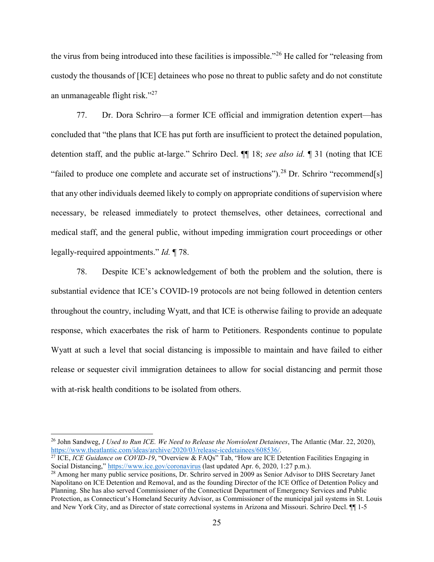the virus from being introduced into these facilities is impossible."<sup>26</sup> He called for "releasing from custody the thousands of [ICE] detainees who pose no threat to public safety and do not constitute an unmanageable flight risk."<sup>27</sup>

77. Dr. Dora Schriro—a former ICE official and immigration detention expert—has concluded that "the plans that ICE has put forth are insufficient to protect the detained population, detention staff, and the public at-large." Schriro Decl.  $\P$  18; see also id.  $\P$  31 (noting that ICE "failed to produce one complete and accurate set of instructions").<sup>28</sup> Dr. Schriro "recommend[s] that any other individuals deemed likely to comply on appropriate conditions of supervision where necessary, be released immediately to protect themselves, other detainees, correctional and medical staff, and the general public, without impeding immigration court proceedings or other legally-required appointments." Id. ¶ 78.

78. Despite ICE's acknowledgement of both the problem and the solution, there is substantial evidence that ICE's COVID-19 protocols are not being followed in detention centers throughout the country, including Wyatt, and that ICE is otherwise failing to provide an adequate response, which exacerbates the risk of harm to Petitioners. Respondents continue to populate Wyatt at such a level that social distancing is impossible to maintain and have failed to either release or sequester civil immigration detainees to allow for social distancing and permit those with at-risk health conditions to be isolated from others.

 $\overline{a}$ 

<sup>&</sup>lt;sup>26</sup> John Sandweg, *I Used to Run ICE. We Need to Release the Nonviolent Detainees*, The Atlantic (Mar. 22, 2020), https://www.theatlantic.com/ideas/archive/2020/03/release-icedetainees/608536/.

<sup>&</sup>lt;sup>27</sup> ICE, *ICE Guidance on COVID-19*, "Overview & FAQs" Tab, "How are ICE Detention Facilities Engaging in Social Distancing," https://www.ice.gov/coronavirus (last updated Apr. 6, 2020, 1:27 p.m.).

<sup>&</sup>lt;sup>28</sup> Among her many public service positions, Dr. Schriro served in 2009 as Senior Advisor to DHS Secretary Janet Napolitano on ICE Detention and Removal, and as the founding Director of the ICE Office of Detention Policy and Planning. She has also served Commissioner of the Connecticut Department of Emergency Services and Public Protection, as Connecticut's Homeland Security Advisor, as Commissioner of the municipal jail systems in St. Louis and New York City, and as Director of state correctional systems in Arizona and Missouri. Schriro Decl. ¶¶ 1-5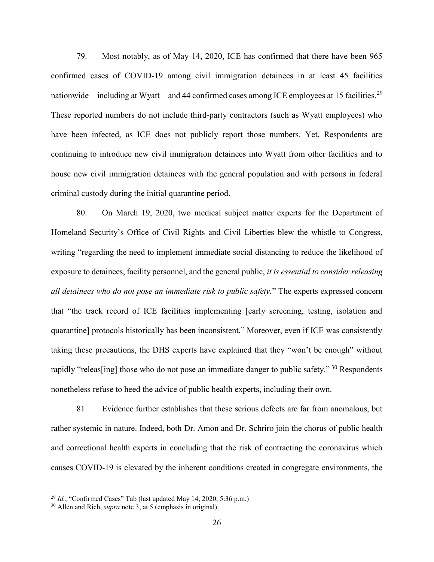79. Most notably, as of May 14, 2020, ICE has confirmed that there have been 965 confirmed cases of COVID-19 among civil immigration detainees in at least 45 facilities nationwide—including at Wyatt—and 44 confirmed cases among ICE employees at 15 facilities.<sup>29</sup> These reported numbers do not include third-party contractors (such as Wyatt employees) who have been infected, as ICE does not publicly report those numbers. Yet, Respondents are continuing to introduce new civil immigration detainees into Wyatt from other facilities and to house new civil immigration detainees with the general population and with persons in federal criminal custody during the initial quarantine period.

80. On March 19, 2020, two medical subject matter experts for the Department of Homeland Security's Office of Civil Rights and Civil Liberties blew the whistle to Congress, writing "regarding the need to implement immediate social distancing to reduce the likelihood of exposure to detainees, facility personnel, and the general public, it is essential to consider releasing all detainees who do not pose an immediate risk to public safety." The experts expressed concern that "the track record of ICE facilities implementing [early screening, testing, isolation and quarantine] protocols historically has been inconsistent." Moreover, even if ICE was consistently taking these precautions, the DHS experts have explained that they "won't be enough" without rapidly "releas [ing] those who do not pose an immediate danger to public safety."  $30$  Respondents nonetheless refuse to heed the advice of public health experts, including their own.

81. Evidence further establishes that these serious defects are far from anomalous, but rather systemic in nature. Indeed, both Dr. Amon and Dr. Schriro join the chorus of public health and correctional health experts in concluding that the risk of contracting the coronavirus which causes COVID-19 is elevated by the inherent conditions created in congregate environments, the

 $^{29}$  Id., "Confirmed Cases" Tab (last updated May 14, 2020, 5:36 p.m.)

 $30$  Allen and Rich, *supra* note 3, at 5 (emphasis in original).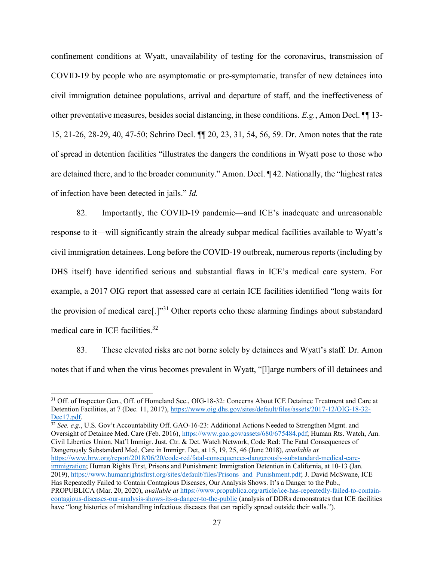confinement conditions at Wyatt, unavailability of testing for the coronavirus, transmission of COVID-19 by people who are asymptomatic or pre-symptomatic, transfer of new detainees into civil immigration detainee populations, arrival and departure of staff, and the ineffectiveness of other preventative measures, besides social distancing, in these conditions. E.g., Amon Decl. ¶¶ 13- 15, 21-26, 28-29, 40, 47-50; Schriro Decl. ¶¶ 20, 23, 31, 54, 56, 59. Dr. Amon notes that the rate of spread in detention facilities "illustrates the dangers the conditions in Wyatt pose to those who are detained there, and to the broader community." Amon. Decl. ¶ 42. Nationally, the "highest rates of infection have been detected in jails." Id.

82. Importantly, the COVID-19 pandemic—and ICE's inadequate and unreasonable response to it—will significantly strain the already subpar medical facilities available to Wyatt's civil immigration detainees. Long before the COVID-19 outbreak, numerous reports (including by DHS itself) have identified serious and substantial flaws in ICE's medical care system. For example, a 2017 OIG report that assessed care at certain ICE facilities identified "long waits for the provision of medical care[.]"<sup>31</sup> Other reports echo these alarming findings about substandard medical care in ICE facilities.<sup>32</sup>

83. These elevated risks are not borne solely by detainees and Wyatt's staff. Dr. Amon notes that if and when the virus becomes prevalent in Wyatt, "[l]arge numbers of ill detainees and

 $32$  See, e.g., U.S. Gov't Accountability Off. GAO-16-23: Additional Actions Needed to Strengthen Mgmt. and Oversight of Detainee Med. Care (Feb. 2016), https://www.gao.gov/assets/680/675484.pdf; Human Rts. Watch, Am. Civil Liberties Union, Nat'l Immigr. Just. Ctr. & Det. Watch Network, Code Red: The Fatal Consequences of Dangerously Substandard Med. Care in Immigr. Det, at 15, 19, 25, 46 (June 2018), *available at* https://www.hrw.org/report/2018/06/20/code-red/fatal-consequences-dangerously-substandard-medical-careimmigration; Human Rights First, Prisons and Punishment: Immigration Detention in California, at 10-13 (Jan. 2019), https://www.humanrightsfirst.org/sites/default/files/Prisons\_and\_Punishment.pdf; J. David McSwane, ICE Has Repeatedly Failed to Contain Contagious Diseases, Our Analysis Shows. It's a Danger to the Pub., PROPUBLICA (Mar. 20, 2020), *available at https://www.propublica.org/article/ice-has-repeatedly-failed-to-contain*contagious-diseases-our-analysis-shows-its-a-danger-to-the-public (analysis of DDRs demonstrates that ICE facilities have "long histories of mishandling infectious diseases that can rapidly spread outside their walls.").

<sup>&</sup>lt;sup>31</sup> Off. of Inspector Gen., Off. of Homeland Sec., OIG-18-32: Concerns About ICE Detainee Treatment and Care at Detention Facilities, at 7 (Dec. 11, 2017), https://www.oig.dhs.gov/sites/default/files/assets/2017-12/OIG-18-32- Dec17.pdf.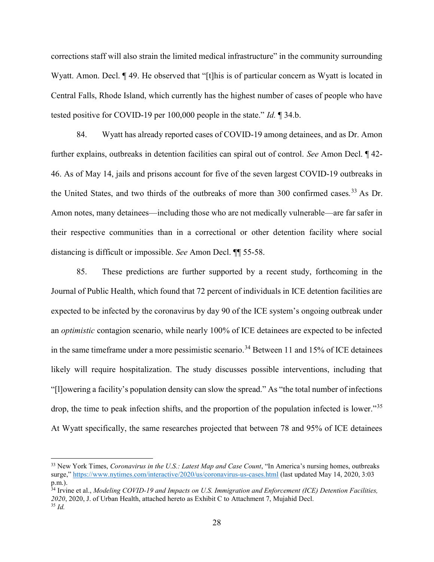corrections staff will also strain the limited medical infrastructure" in the community surrounding Wyatt. Amon. Decl. ¶ 49. He observed that "[t]his is of particular concern as Wyatt is located in Central Falls, Rhode Island, which currently has the highest number of cases of people who have tested positive for COVID-19 per 100,000 people in the state." Id. ¶ 34.b.

84. Wyatt has already reported cases of COVID-19 among detainees, and as Dr. Amon further explains, outbreaks in detention facilities can spiral out of control. See Amon Decl. ¶ 42- 46. As of May 14, jails and prisons account for five of the seven largest COVID-19 outbreaks in the United States, and two thirds of the outbreaks of more than 300 confirmed cases.<sup>33</sup> As Dr. Amon notes, many detainees—including those who are not medically vulnerable—are far safer in their respective communities than in a correctional or other detention facility where social distancing is difficult or impossible. See Amon Decl. ¶¶ 55-58.

85. These predictions are further supported by a recent study, forthcoming in the Journal of Public Health, which found that 72 percent of individuals in ICE detention facilities are expected to be infected by the coronavirus by day 90 of the ICE system's ongoing outbreak under an optimistic contagion scenario, while nearly 100% of ICE detainees are expected to be infected in the same timeframe under a more pessimistic scenario.<sup>34</sup> Between 11 and 15% of ICE detainees likely will require hospitalization. The study discusses possible interventions, including that "[l]owering a facility's population density can slow the spread." As "the total number of infections drop, the time to peak infection shifts, and the proportion of the population infected is lower."<sup>35</sup> At Wyatt specifically, the same researches projected that between 78 and 95% of ICE detainees

 $\overline{a}$ 

 $33$  New York Times, Coronavirus in the U.S.: Latest Map and Case Count, "In America's nursing homes, outbreaks surge," https://www.nytimes.com/interactive/2020/us/coronavirus-us-cases.html (last updated May 14, 2020, 3:03 p.m.).

 $34$  Irvine et al., Modeling COVID-19 and Impacts on U.S. Immigration and Enforcement (ICE) Detention Facilities, 2020, 2020, J. of Urban Health, attached hereto as Exhibit C to Attachment 7, Mujahid Decl. <sup>35</sup> Id.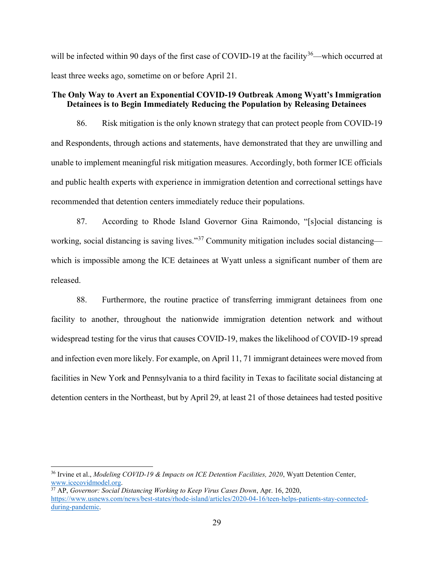will be infected within 90 days of the first case of COVID-19 at the facility<sup>36</sup>—which occurred at least three weeks ago, sometime on or before April 21.

### The Only Way to Avert an Exponential COVID-19 Outbreak Among Wyatt's Immigration Detainees is to Begin Immediately Reducing the Population by Releasing Detainees

86. Risk mitigation is the only known strategy that can protect people from COVID-19 and Respondents, through actions and statements, have demonstrated that they are unwilling and unable to implement meaningful risk mitigation measures. Accordingly, both former ICE officials and public health experts with experience in immigration detention and correctional settings have recommended that detention centers immediately reduce their populations.

87. According to Rhode Island Governor Gina Raimondo, "[s]ocial distancing is working, social distancing is saving lives."<sup>37</sup> Community mitigation includes social distancing which is impossible among the ICE detainees at Wyatt unless a significant number of them are released.

88. Furthermore, the routine practice of transferring immigrant detainees from one facility to another, throughout the nationwide immigration detention network and without widespread testing for the virus that causes COVID-19, makes the likelihood of COVID-19 spread and infection even more likely. For example, on April 11, 71 immigrant detainees were moved from facilities in New York and Pennsylvania to a third facility in Texas to facilitate social distancing at detention centers in the Northeast, but by April 29, at least 21 of those detainees had tested positive

<sup>&</sup>lt;sup>36</sup> Irvine et al., *Modeling COVID-19 & Impacts on ICE Detention Facilities*, 2020, Wyatt Detention Center, www.icecovidmodel.org.

 $37$  AP, Governor: Social Distancing Working to Keep Virus Cases Down, Apr. 16, 2020, https://www.usnews.com/news/best-states/rhode-island/articles/2020-04-16/teen-helps-patients-stay-connectedduring-pandemic.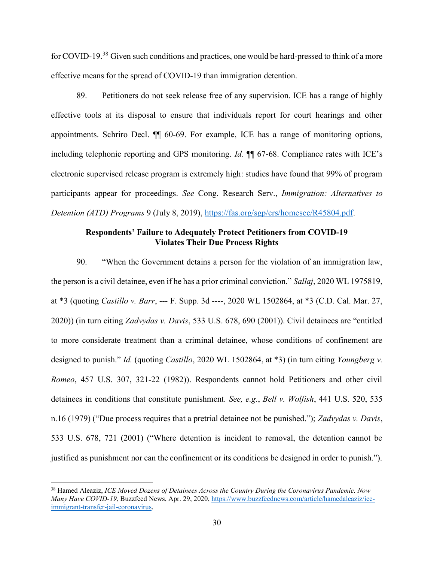for COVID-19.<sup>38</sup> Given such conditions and practices, one would be hard-pressed to think of a more effective means for the spread of COVID-19 than immigration detention.

89. Petitioners do not seek release free of any supervision. ICE has a range of highly effective tools at its disposal to ensure that individuals report for court hearings and other appointments. Schriro Decl. ¶¶ 60-69. For example, ICE has a range of monitoring options, including telephonic reporting and GPS monitoring. Id. ¶¶ 67-68. Compliance rates with ICE's electronic supervised release program is extremely high: studies have found that 99% of program participants appear for proceedings. See Cong. Research Serv., Immigration: Alternatives to Detention (ATD) Programs 9 (July 8, 2019), https://fas.org/sgp/crs/homesec/R45804.pdf.

### Respondents' Failure to Adequately Protect Petitioners from COVID-19 Violates Their Due Process Rights

90. "When the Government detains a person for the violation of an immigration law, the person is a civil detainee, even if he has a prior criminal conviction." Sallaj, 2020 WL 1975819, at \*3 (quoting Castillo v. Barr, --- F. Supp. 3d ----, 2020 WL 1502864, at \*3 (C.D. Cal. Mar. 27, 2020)) (in turn citing Zadvydas v. Davis, 533 U.S. 678, 690 (2001)). Civil detainees are "entitled to more considerate treatment than a criminal detainee, whose conditions of confinement are designed to punish." *Id.* (quoting *Castillo*, 2020 WL 1502864, at \*3) (in turn citing *Youngberg v.* Romeo, 457 U.S. 307, 321-22 (1982)). Respondents cannot hold Petitioners and other civil detainees in conditions that constitute punishment. See, e.g., Bell v. Wolfish, 441 U.S. 520, 535 n.16 (1979) ("Due process requires that a pretrial detainee not be punished."); Zadvydas v. Davis, 533 U.S. 678, 721 (2001) ("Where detention is incident to removal, the detention cannot be justified as punishment nor can the confinement or its conditions be designed in order to punish.").

 $\overline{a}$ 

<sup>&</sup>lt;sup>38</sup> Hamed Aleaziz, *ICE Moved Dozens of Detainees Across the Country During the Coronavirus Pandemic. Now* Many Have COVID-19, Buzzfeed News, Apr. 29, 2020, https://www.buzzfeednews.com/article/hamedaleaziz/iceimmigrant-transfer-jail-coronavirus.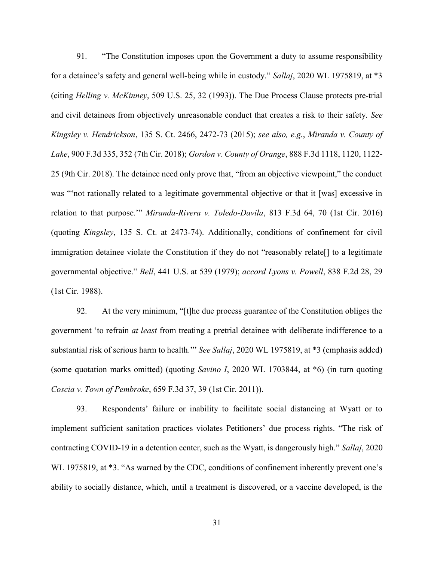91. "The Constitution imposes upon the Government a duty to assume responsibility for a detainee's safety and general well-being while in custody." Sallaj, 2020 WL 1975819, at \*3 (citing Helling v. McKinney, 509 U.S. 25, 32 (1993)). The Due Process Clause protects pre-trial and civil detainees from objectively unreasonable conduct that creates a risk to their safety. See Kingsley v. Hendrickson, 135 S. Ct. 2466, 2472-73 (2015); see also, e.g., Miranda v. County of Lake, 900 F.3d 335, 352 (7th Cir. 2018); Gordon v. County of Orange, 888 F.3d 1118, 1120, 1122- 25 (9th Cir. 2018). The detainee need only prove that, "from an objective viewpoint," the conduct was "'not rationally related to a legitimate governmental objective or that it [was] excessive in relation to that purpose." Miranda-Rivera v. Toledo-Davila, 813 F.3d 64, 70 (1st Cir. 2016) (quoting Kingsley, 135 S. Ct. at 2473-74). Additionally, conditions of confinement for civil immigration detainee violate the Constitution if they do not "reasonably relate[] to a legitimate governmental objective." Bell, 441 U.S. at 539 (1979); accord Lyons v. Powell, 838 F.2d 28, 29 (1st Cir. 1988).

92. At the very minimum, "[t]he due process guarantee of the Constitution obliges the government 'to refrain at least from treating a pretrial detainee with deliberate indifference to a substantial risk of serious harm to health." See Sallaj, 2020 WL 1975819, at \*3 (emphasis added) (some quotation marks omitted) (quoting Savino I, 2020 WL 1703844, at \*6) (in turn quoting Coscia v. Town of Pembroke, 659 F.3d 37, 39 (1st Cir. 2011)).

93. Respondents' failure or inability to facilitate social distancing at Wyatt or to implement sufficient sanitation practices violates Petitioners' due process rights. "The risk of contracting COVID-19 in a detention center, such as the Wyatt, is dangerously high." Sallaj, 2020 WL 1975819, at  $*3$ . "As warned by the CDC, conditions of confinement inherently prevent one's ability to socially distance, which, until a treatment is discovered, or a vaccine developed, is the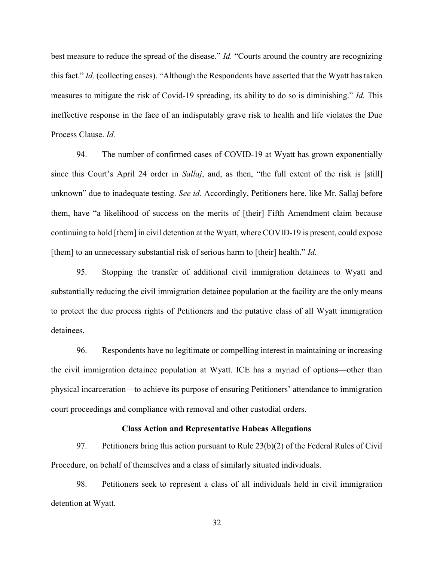best measure to reduce the spread of the disease." *Id.* "Courts around the country are recognizing this fact." Id. (collecting cases). "Although the Respondents have asserted that the Wyatt has taken measures to mitigate the risk of Covid-19 spreading, its ability to do so is diminishing." Id. This ineffective response in the face of an indisputably grave risk to health and life violates the Due Process Clause. Id.

94. The number of confirmed cases of COVID-19 at Wyatt has grown exponentially since this Court's April 24 order in *Sallaj*, and, as then, "the full extent of the risk is [still] unknown" due to inadequate testing. See id. Accordingly, Petitioners here, like Mr. Sallaj before them, have "a likelihood of success on the merits of [their] Fifth Amendment claim because continuing to hold [them] in civil detention at the Wyatt, where COVID-19 is present, could expose [them] to an unnecessary substantial risk of serious harm to [their] health." Id.

95. Stopping the transfer of additional civil immigration detainees to Wyatt and substantially reducing the civil immigration detainee population at the facility are the only means to protect the due process rights of Petitioners and the putative class of all Wyatt immigration detainees.

96. Respondents have no legitimate or compelling interest in maintaining or increasing the civil immigration detainee population at Wyatt. ICE has a myriad of options—other than physical incarceration—to achieve its purpose of ensuring Petitioners' attendance to immigration court proceedings and compliance with removal and other custodial orders.

#### Class Action and Representative Habeas Allegations

97. Petitioners bring this action pursuant to Rule 23(b)(2) of the Federal Rules of Civil Procedure, on behalf of themselves and a class of similarly situated individuals.

98. Petitioners seek to represent a class of all individuals held in civil immigration detention at Wyatt.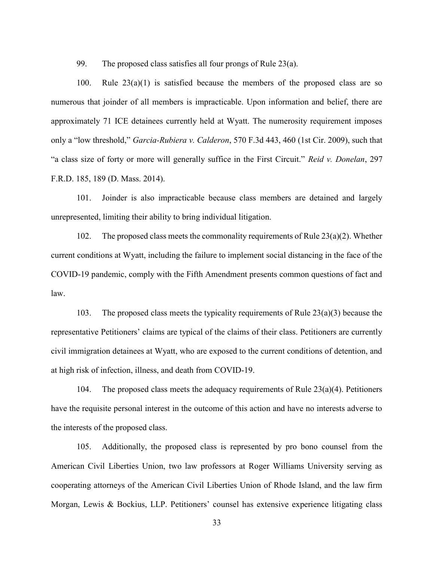99. The proposed class satisfies all four prongs of Rule 23(a).

100. Rule  $23(a)(1)$  is satisfied because the members of the proposed class are so numerous that joinder of all members is impracticable. Upon information and belief, there are approximately 71 ICE detainees currently held at Wyatt. The numerosity requirement imposes only a "low threshold," Garcia-Rubiera v. Calderon, 570 F.3d 443, 460 (1st Cir. 2009), such that "a class size of forty or more will generally suffice in the First Circuit." Reid v. Donelan, 297 F.R.D. 185, 189 (D. Mass. 2014).

101. Joinder is also impracticable because class members are detained and largely unrepresented, limiting their ability to bring individual litigation.

102. The proposed class meets the commonality requirements of Rule 23(a)(2). Whether current conditions at Wyatt, including the failure to implement social distancing in the face of the COVID-19 pandemic, comply with the Fifth Amendment presents common questions of fact and law.

103. The proposed class meets the typicality requirements of Rule 23(a)(3) because the representative Petitioners' claims are typical of the claims of their class. Petitioners are currently civil immigration detainees at Wyatt, who are exposed to the current conditions of detention, and at high risk of infection, illness, and death from COVID-19.

104. The proposed class meets the adequacy requirements of Rule  $23(a)(4)$ . Petitioners have the requisite personal interest in the outcome of this action and have no interests adverse to the interests of the proposed class.

105. Additionally, the proposed class is represented by pro bono counsel from the American Civil Liberties Union, two law professors at Roger Williams University serving as cooperating attorneys of the American Civil Liberties Union of Rhode Island, and the law firm Morgan, Lewis & Bockius, LLP. Petitioners' counsel has extensive experience litigating class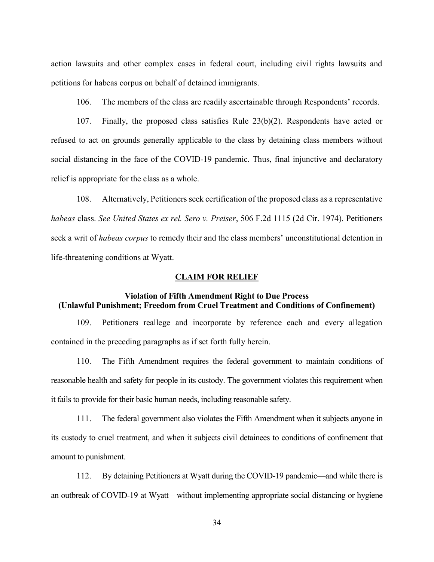action lawsuits and other complex cases in federal court, including civil rights lawsuits and petitions for habeas corpus on behalf of detained immigrants.

106. The members of the class are readily ascertainable through Respondents' records.

107. Finally, the proposed class satisfies Rule 23(b)(2). Respondents have acted or refused to act on grounds generally applicable to the class by detaining class members without social distancing in the face of the COVID-19 pandemic. Thus, final injunctive and declaratory relief is appropriate for the class as a whole.

108. Alternatively, Petitioners seek certification of the proposed class as a representative habeas class. See United States ex rel. Sero v. Preiser, 506 F.2d 1115 (2d Cir. 1974). Petitioners seek a writ of habeas corpus to remedy their and the class members' unconstitutional detention in life-threatening conditions at Wyatt.

#### CLAIM FOR RELIEF

## Violation of Fifth Amendment Right to Due Process (Unlawful Punishment; Freedom from Cruel Treatment and Conditions of Confinement)

109. Petitioners reallege and incorporate by reference each and every allegation contained in the preceding paragraphs as if set forth fully herein.

110. The Fifth Amendment requires the federal government to maintain conditions of reasonable health and safety for people in its custody. The government violates this requirement when it fails to provide for their basic human needs, including reasonable safety.

111. The federal government also violates the Fifth Amendment when it subjects anyone in its custody to cruel treatment, and when it subjects civil detainees to conditions of confinement that amount to punishment.

112. By detaining Petitioners at Wyatt during the COVID-19 pandemic—and while there is an outbreak of COVID-19 at Wyatt—without implementing appropriate social distancing or hygiene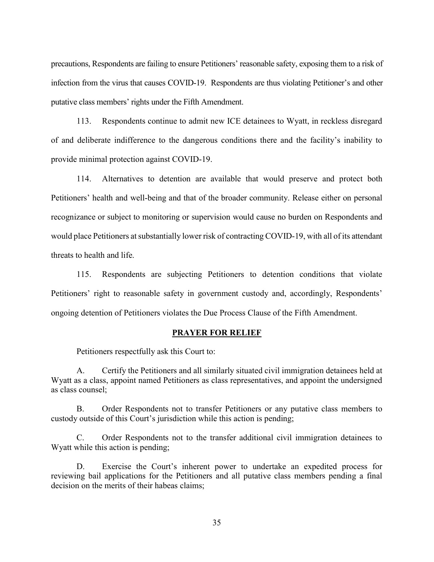precautions, Respondents are failing to ensure Petitioners' reasonable safety, exposing them to a risk of infection from the virus that causes COVID-19. Respondents are thus violating Petitioner's and other putative class members' rights under the Fifth Amendment.

113. Respondents continue to admit new ICE detainees to Wyatt, in reckless disregard of and deliberate indifference to the dangerous conditions there and the facility's inability to provide minimal protection against COVID-19.

114. Alternatives to detention are available that would preserve and protect both Petitioners' health and well-being and that of the broader community. Release either on personal recognizance or subject to monitoring or supervision would cause no burden on Respondents and would place Petitioners at substantially lower risk of contracting COVID-19, with all of its attendant threats to health and life.

115. Respondents are subjecting Petitioners to detention conditions that violate Petitioners' right to reasonable safety in government custody and, accordingly, Respondents' ongoing detention of Petitioners violates the Due Process Clause of the Fifth Amendment.

#### PRAYER FOR RELIEF

Petitioners respectfully ask this Court to:

A. Certify the Petitioners and all similarly situated civil immigration detainees held at Wyatt as a class, appoint named Petitioners as class representatives, and appoint the undersigned as class counsel;

B. Order Respondents not to transfer Petitioners or any putative class members to custody outside of this Court's jurisdiction while this action is pending;

C. Order Respondents not to the transfer additional civil immigration detainees to Wyatt while this action is pending;

D. Exercise the Court's inherent power to undertake an expedited process for reviewing bail applications for the Petitioners and all putative class members pending a final decision on the merits of their habeas claims;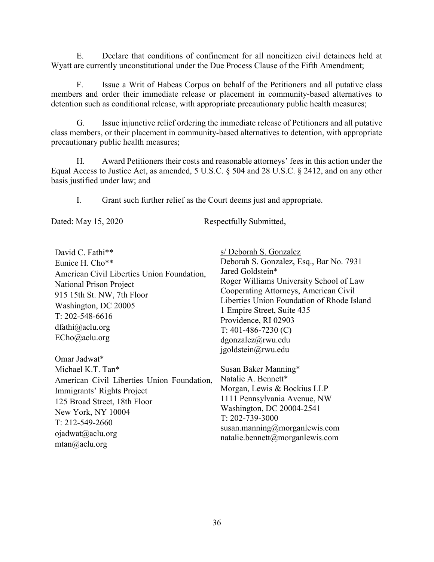E. Declare that conditions of confinement for all noncitizen civil detainees held at Wyatt are currently unconstitutional under the Due Process Clause of the Fifth Amendment;

F. Issue a Writ of Habeas Corpus on behalf of the Petitioners and all putative class members and order their immediate release or placement in community-based alternatives to detention such as conditional release, with appropriate precautionary public health measures;

G. Issue injunctive relief ordering the immediate release of Petitioners and all putative class members, or their placement in community-based alternatives to detention, with appropriate precautionary public health measures;

H. Award Petitioners their costs and reasonable attorneys' fees in this action under the Equal Access to Justice Act, as amended, 5 U.S.C. § 504 and 28 U.S.C. § 2412, and on any other basis justified under law; and

I. Grant such further relief as the Court deems just and appropriate.

Dated: May 15, 2020 Respectfully Submitted,

| David C. Fathi**                                                                                                                                  | s/ Deborah S. Gonzalez                                                                                                                                                                                                                                   |
|---------------------------------------------------------------------------------------------------------------------------------------------------|----------------------------------------------------------------------------------------------------------------------------------------------------------------------------------------------------------------------------------------------------------|
| Eunice H. Cho**                                                                                                                                   | Deborah S. Gonzalez, Esq., Bar No. 7931                                                                                                                                                                                                                  |
| American Civil Liberties Union Foundation,                                                                                                        | Jared Goldstein*                                                                                                                                                                                                                                         |
| <b>National Prison Project</b><br>915 15th St. NW, 7th Floor<br>Washington, DC 20005<br>$T: 202 - 548 - 6616$<br>dfathi@aclu.org<br>ECho@aclu.org | Roger Williams University School of Law<br>Cooperating Attorneys, American Civil<br>Liberties Union Foundation of Rhode Island<br>1 Empire Street, Suite 435<br>Providence, RI 02903<br>$T: 401-486-7230$ (C)<br>dgonzalez@rwu.edu<br>jgoldstein@rwu.edu |
| Omar Jadwat*                                                                                                                                      |                                                                                                                                                                                                                                                          |
| Michael K.T. Tan*                                                                                                                                 | Susan Baker Manning*                                                                                                                                                                                                                                     |
| American Civil Liberties Union Foundation,                                                                                                        | Natalie A. Bennett*                                                                                                                                                                                                                                      |
| Immigrants' Rights Project                                                                                                                        | Morgan, Lewis & Bockius LLP                                                                                                                                                                                                                              |
| 125 Broad Street, 18th Floor                                                                                                                      | 1111 Pennsylvania Avenue, NW                                                                                                                                                                                                                             |
| New York, NY 10004                                                                                                                                | Washington, DC 20004-2541<br>$T: 202 - 739 - 3000$                                                                                                                                                                                                       |
| $T: 212 - 549 - 2660$                                                                                                                             |                                                                                                                                                                                                                                                          |
| ojadwat@aclu.org                                                                                                                                  | susan.manning@morganlewis.com<br>natalie.bennett@morganlewis.com                                                                                                                                                                                         |
| mtan@aclu.org                                                                                                                                     |                                                                                                                                                                                                                                                          |
|                                                                                                                                                   |                                                                                                                                                                                                                                                          |